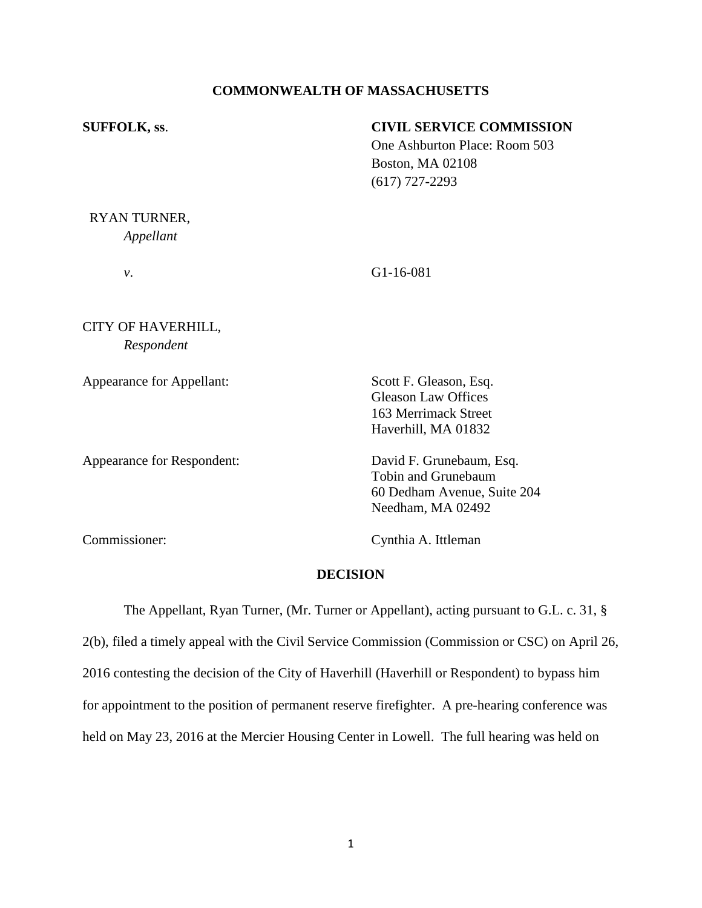# **COMMONWEALTH OF MASSACHUSETTS**

| <b>SUFFOLK, ss.</b> | <b>CIVIL SERVICE COMMISSION</b> |
|---------------------|---------------------------------|
|                     | One Ashburton Place: Room 503   |
|                     | <b>Boston, MA 02108</b>         |
|                     | $(617)$ 727-2293                |
|                     |                                 |

RYAN TURNER, *Appellant*

*v*. G1-16-081

CITY OF HAVERHILL, *Respondent*

Appearance for Appellant: Scott F. Gleason, Esq.

Appearance for Respondent: David F. Grunebaum, Esq.

Gleason Law Offices 163 Merrimack Street Haverhill, MA 01832

Tobin and Grunebaum 60 Dedham Avenue, Suite 204 Needham, MA 02492

Commissioner: Cynthia A. Ittleman

# **DECISION**

The Appellant, Ryan Turner, (Mr. Turner or Appellant), acting pursuant to G.L. c. 31, §

2(b), filed a timely appeal with the Civil Service Commission (Commission or CSC) on April 26, 2016 contesting the decision of the City of Haverhill (Haverhill or Respondent) to bypass him for appointment to the position of permanent reserve firefighter. A pre-hearing conference was held on May 23, 2016 at the Mercier Housing Center in Lowell. The full hearing was held on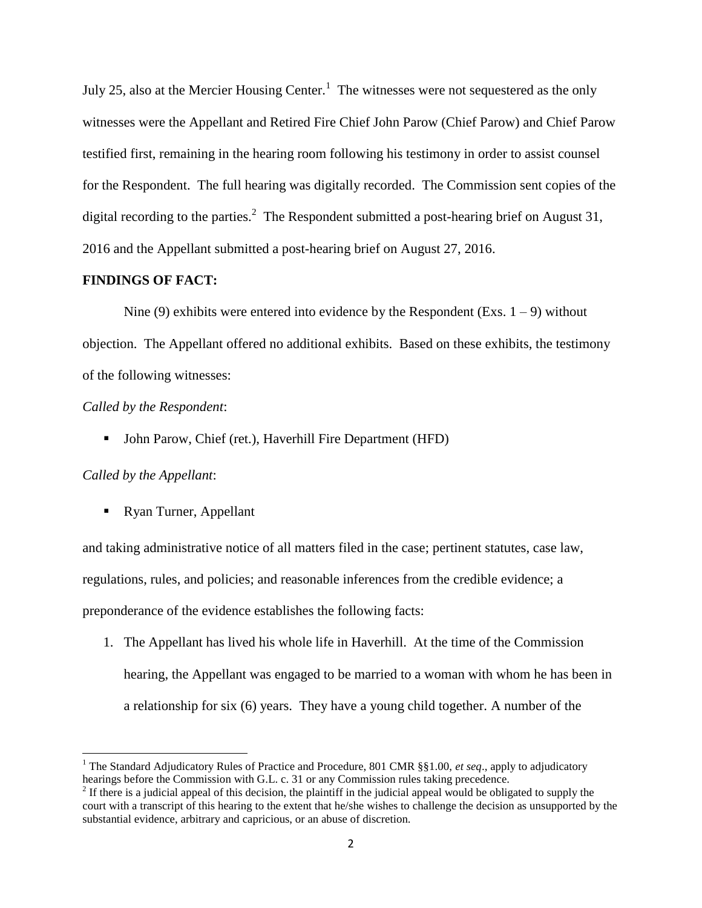July 25, also at the Mercier Housing Center.<sup>1</sup> The witnesses were not sequestered as the only witnesses were the Appellant and Retired Fire Chief John Parow (Chief Parow) and Chief Parow testified first, remaining in the hearing room following his testimony in order to assist counsel for the Respondent. The full hearing was digitally recorded. The Commission sent copies of the digital recording to the parties.<sup>2</sup> The Respondent submitted a post-hearing brief on August 31, 2016 and the Appellant submitted a post-hearing brief on August 27, 2016.

# **FINDINGS OF FACT:**

Nine (9) exhibits were entered into evidence by the Respondent (Exs.  $1 - 9$ ) without objection. The Appellant offered no additional exhibits. Based on these exhibits, the testimony of the following witnesses:

## *Called by the Respondent*:

• John Parow, Chief (ret.), Haverhill Fire Department (HFD)

## *Called by the Appellant*:

 $\overline{a}$ 

Ryan Turner, Appellant

and taking administrative notice of all matters filed in the case; pertinent statutes, case law, regulations, rules, and policies; and reasonable inferences from the credible evidence; a preponderance of the evidence establishes the following facts:

1. The Appellant has lived his whole life in Haverhill. At the time of the Commission hearing, the Appellant was engaged to be married to a woman with whom he has been in a relationship for six (6) years. They have a young child together. A number of the

<sup>1</sup> The Standard Adjudicatory Rules of Practice and Procedure, 801 CMR §§1.00, *et seq*., apply to adjudicatory hearings before the Commission with G.L. c. 31 or any Commission rules taking precedence.

 $2<sup>2</sup>$  If there is a judicial appeal of this decision, the plaintiff in the judicial appeal would be obligated to supply the court with a transcript of this hearing to the extent that he/she wishes to challenge the decision as unsupported by the substantial evidence, arbitrary and capricious, or an abuse of discretion.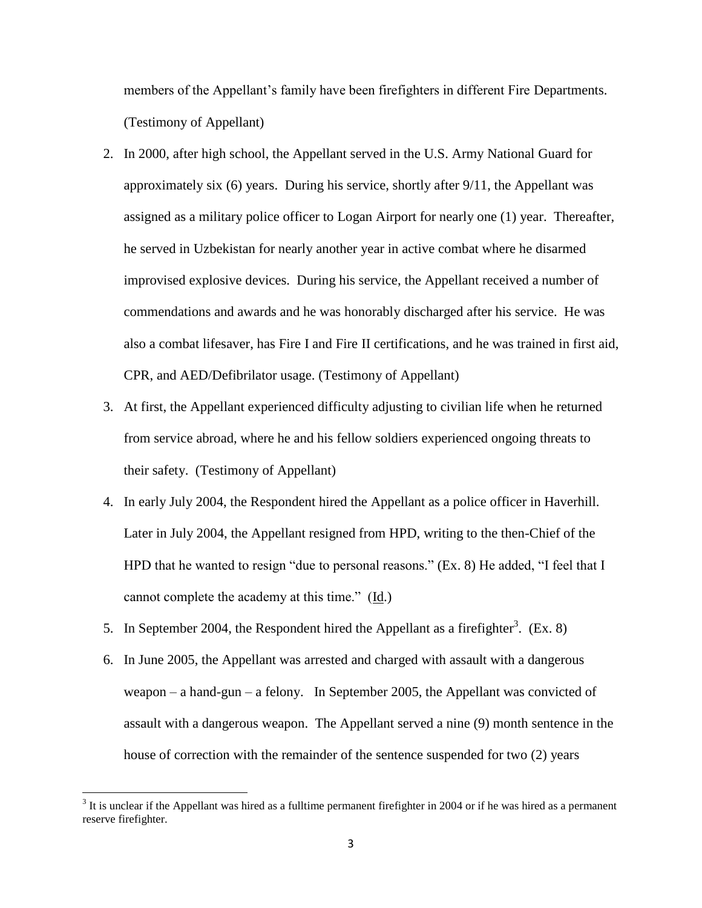members of the Appellant's family have been firefighters in different Fire Departments. (Testimony of Appellant)

- 2. In 2000, after high school, the Appellant served in the U.S. Army National Guard for approximately six (6) years. During his service, shortly after 9/11, the Appellant was assigned as a military police officer to Logan Airport for nearly one (1) year. Thereafter, he served in Uzbekistan for nearly another year in active combat where he disarmed improvised explosive devices. During his service, the Appellant received a number of commendations and awards and he was honorably discharged after his service. He was also a combat lifesaver, has Fire I and Fire II certifications, and he was trained in first aid, CPR, and AED/Defibrilator usage. (Testimony of Appellant)
- 3. At first, the Appellant experienced difficulty adjusting to civilian life when he returned from service abroad, where he and his fellow soldiers experienced ongoing threats to their safety. (Testimony of Appellant)
- 4. In early July 2004, the Respondent hired the Appellant as a police officer in Haverhill. Later in July 2004, the Appellant resigned from HPD, writing to the then-Chief of the HPD that he wanted to resign "due to personal reasons." (Ex. 8) He added, "I feel that I cannot complete the academy at this time." (Id.)
- 5. In September 2004, the Respondent hired the Appellant as a firefighter<sup>3</sup>. (Ex. 8)
- 6. In June 2005, the Appellant was arrested and charged with assault with a dangerous weapon – a hand-gun – a felony. In September 2005, the Appellant was convicted of assault with a dangerous weapon. The Appellant served a nine (9) month sentence in the house of correction with the remainder of the sentence suspended for two (2) years

 $\overline{\phantom{a}}$ 

 $3$  It is unclear if the Appellant was hired as a fulltime permanent firefighter in 2004 or if he was hired as a permanent reserve firefighter.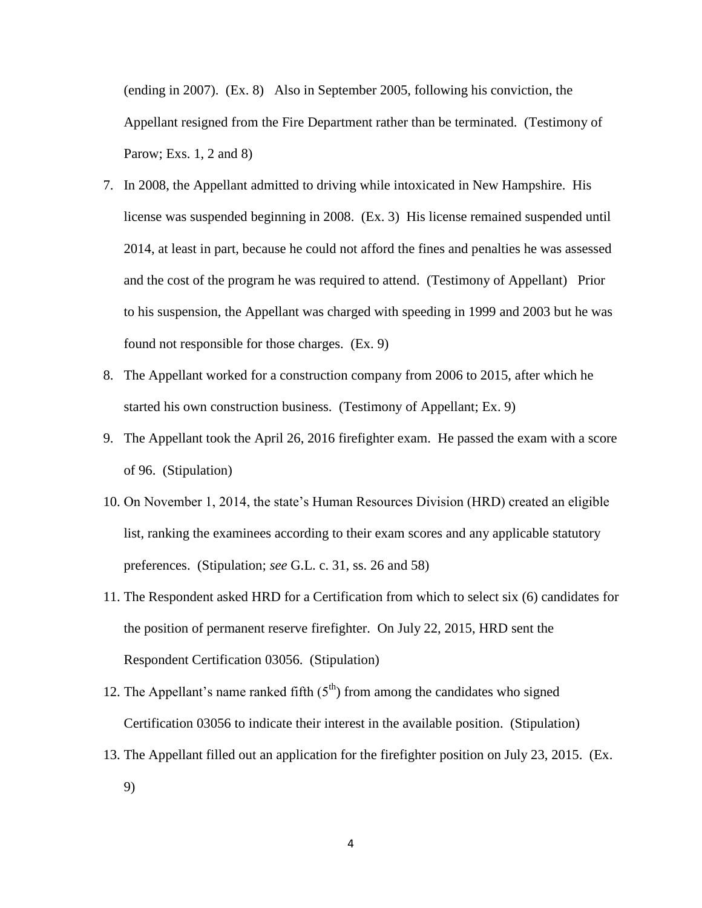(ending in 2007). (Ex. 8) Also in September 2005, following his conviction, the Appellant resigned from the Fire Department rather than be terminated. (Testimony of Parow; Exs. 1, 2 and 8)

- 7. In 2008, the Appellant admitted to driving while intoxicated in New Hampshire. His license was suspended beginning in 2008. (Ex. 3) His license remained suspended until 2014, at least in part, because he could not afford the fines and penalties he was assessed and the cost of the program he was required to attend. (Testimony of Appellant) Prior to his suspension, the Appellant was charged with speeding in 1999 and 2003 but he was found not responsible for those charges. (Ex. 9)
- 8. The Appellant worked for a construction company from 2006 to 2015, after which he started his own construction business. (Testimony of Appellant; Ex. 9)
- 9. The Appellant took the April 26, 2016 firefighter exam. He passed the exam with a score of 96. (Stipulation)
- 10. On November 1, 2014, the state's Human Resources Division (HRD) created an eligible list, ranking the examinees according to their exam scores and any applicable statutory preferences. (Stipulation; *see* G.L. c. 31, ss. 26 and 58)
- 11. The Respondent asked HRD for a Certification from which to select six (6) candidates for the position of permanent reserve firefighter. On July 22, 2015, HRD sent the Respondent Certification 03056. (Stipulation)
- 12. The Appellant's name ranked fifth  $(5<sup>th</sup>)$  from among the candidates who signed Certification 03056 to indicate their interest in the available position. (Stipulation)
- 13. The Appellant filled out an application for the firefighter position on July 23, 2015. (Ex. 9)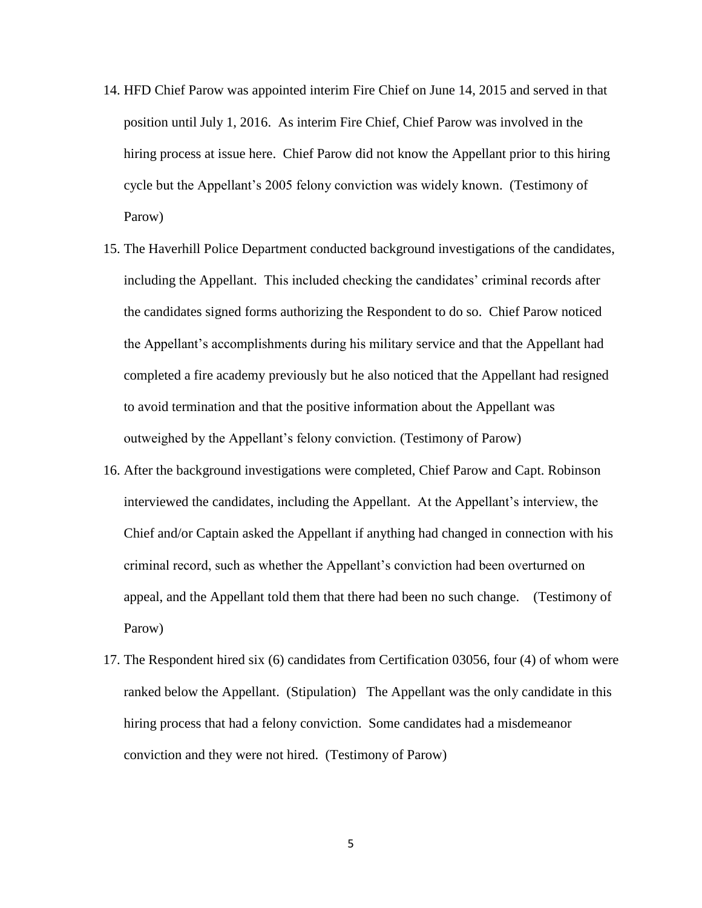- 14. HFD Chief Parow was appointed interim Fire Chief on June 14, 2015 and served in that position until July 1, 2016. As interim Fire Chief, Chief Parow was involved in the hiring process at issue here. Chief Parow did not know the Appellant prior to this hiring cycle but the Appellant's 2005 felony conviction was widely known. (Testimony of Parow)
- 15. The Haverhill Police Department conducted background investigations of the candidates, including the Appellant. This included checking the candidates' criminal records after the candidates signed forms authorizing the Respondent to do so. Chief Parow noticed the Appellant's accomplishments during his military service and that the Appellant had completed a fire academy previously but he also noticed that the Appellant had resigned to avoid termination and that the positive information about the Appellant was outweighed by the Appellant's felony conviction. (Testimony of Parow)
- 16. After the background investigations were completed, Chief Parow and Capt. Robinson interviewed the candidates, including the Appellant. At the Appellant's interview, the Chief and/or Captain asked the Appellant if anything had changed in connection with his criminal record, such as whether the Appellant's conviction had been overturned on appeal, and the Appellant told them that there had been no such change. (Testimony of Parow)
- 17. The Respondent hired six (6) candidates from Certification 03056, four (4) of whom were ranked below the Appellant. (Stipulation) The Appellant was the only candidate in this hiring process that had a felony conviction. Some candidates had a misdemeanor conviction and they were not hired. (Testimony of Parow)

5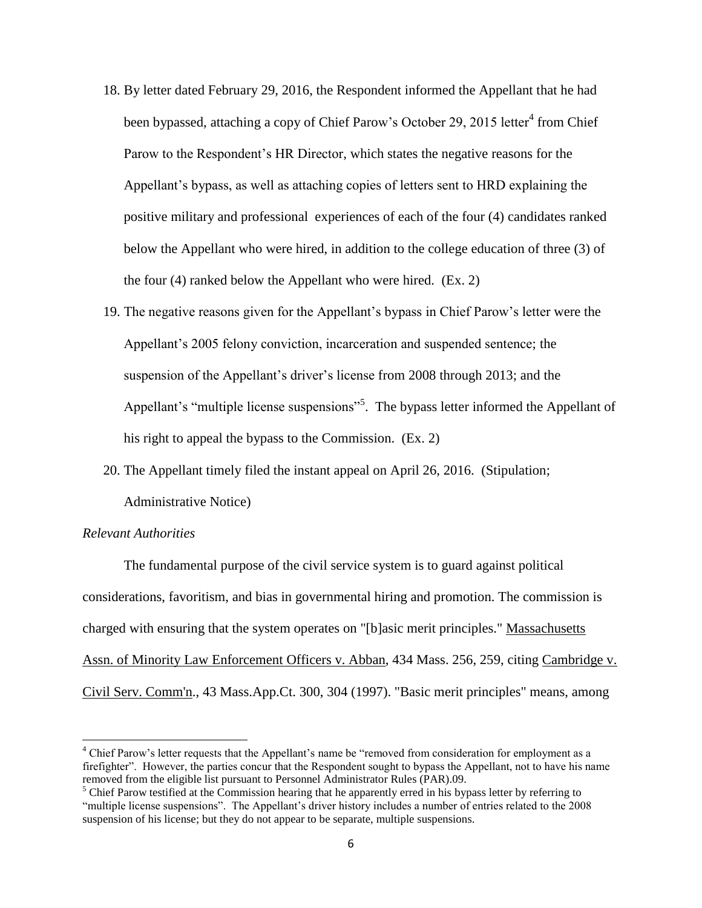- 18. By letter dated February 29, 2016, the Respondent informed the Appellant that he had been bypassed, attaching a copy of Chief Parow's October 29, 2015 letter<sup>4</sup> from Chief Parow to the Respondent's HR Director, which states the negative reasons for the Appellant's bypass, as well as attaching copies of letters sent to HRD explaining the positive military and professional experiences of each of the four (4) candidates ranked below the Appellant who were hired, in addition to the college education of three (3) of the four (4) ranked below the Appellant who were hired. (Ex. 2)
- 19. The negative reasons given for the Appellant's bypass in Chief Parow's letter were the Appellant's 2005 felony conviction, incarceration and suspended sentence; the suspension of the Appellant's driver's license from 2008 through 2013; and the Appellant's "multiple license suspensions"<sup>5</sup>. The bypass letter informed the Appellant of his right to appeal the bypass to the Commission. (Ex. 2)
- 20. The Appellant timely filed the instant appeal on April 26, 2016. (Stipulation; Administrative Notice)

#### *Relevant Authorities*

l

The fundamental purpose of the civil service system is to guard against political considerations, favoritism, and bias in governmental hiring and promotion. The commission is charged with ensuring that the system operates on "[b]asic merit principles." Massachusetts Assn. of Minority Law Enforcement Officers v. Abban, 434 Mass. 256, 259, citing Cambridge v. Civil Serv. Comm'n., 43 Mass.App.Ct. 300, 304 (1997). "Basic merit principles" means, among

<sup>&</sup>lt;sup>4</sup> Chief Parow's letter requests that the Appellant's name be "removed from consideration for employment as a firefighter". However, the parties concur that the Respondent sought to bypass the Appellant, not to have his name removed from the eligible list pursuant to Personnel Administrator Rules (PAR).09.

<sup>&</sup>lt;sup>5</sup> Chief Parow testified at the Commission hearing that he apparently erred in his bypass letter by referring to "multiple license suspensions". The Appellant's driver history includes a number of entries related to the 2008 suspension of his license; but they do not appear to be separate, multiple suspensions.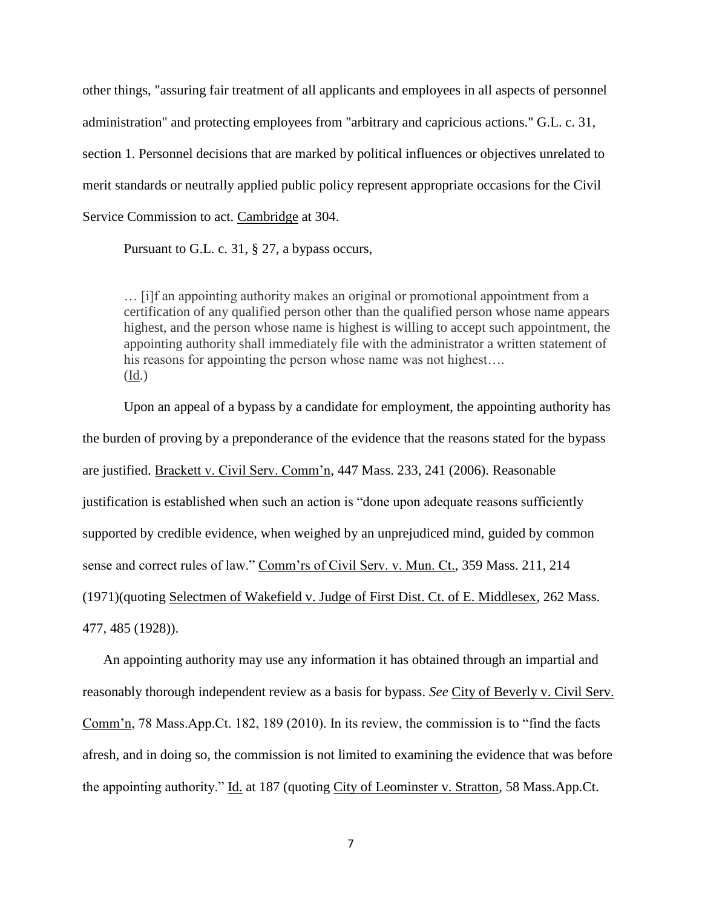other things, "assuring fair treatment of all applicants and employees in all aspects of personnel administration" and protecting employees from "arbitrary and capricious actions." G.L. c. 31, section 1. Personnel decisions that are marked by political influences or objectives unrelated to merit standards or neutrally applied public policy represent appropriate occasions for the Civil Service Commission to act. Cambridge at 304.

Pursuant to G.L. c. 31, § 27, a bypass occurs,

… [i]f an appointing authority makes an original or promotional appointment from a certification of any qualified person other than the qualified person whose name appears highest, and the person whose name is highest is willing to accept such appointment, the appointing authority shall immediately file with the administrator a written statement of his reasons for appointing the person whose name was not highest.... (Id.)

Upon an appeal of a bypass by a candidate for employment, the appointing authority has the burden of proving by a preponderance of the evidence that the reasons stated for the bypass are justified. Brackett v. Civil Serv. Comm'n, 447 Mass. 233, 241 (2006). Reasonable justification is established when such an action is "done upon adequate reasons sufficiently supported by credible evidence, when weighed by an unprejudiced mind, guided by common sense and correct rules of law." Comm'rs of Civil Serv. v. Mun. Ct., 359 Mass. 211, 214 (1971)(quoting Selectmen of Wakefield v. Judge of First Dist. Ct. of E. Middlesex, 262 Mass. 477, 485 (1928)).

An appointing authority may use any information it has obtained through an impartial and reasonably thorough independent review as a basis for bypass. *See* City of Beverly v. Civil Serv. Comm'n, 78 Mass.App.Ct. 182, 189 (2010). In its review, the commission is to "find the facts afresh, and in doing so, the commission is not limited to examining the evidence that was before the appointing authority." Id. at 187 (quoting City of Leominster v. Stratton, 58 Mass.App.Ct.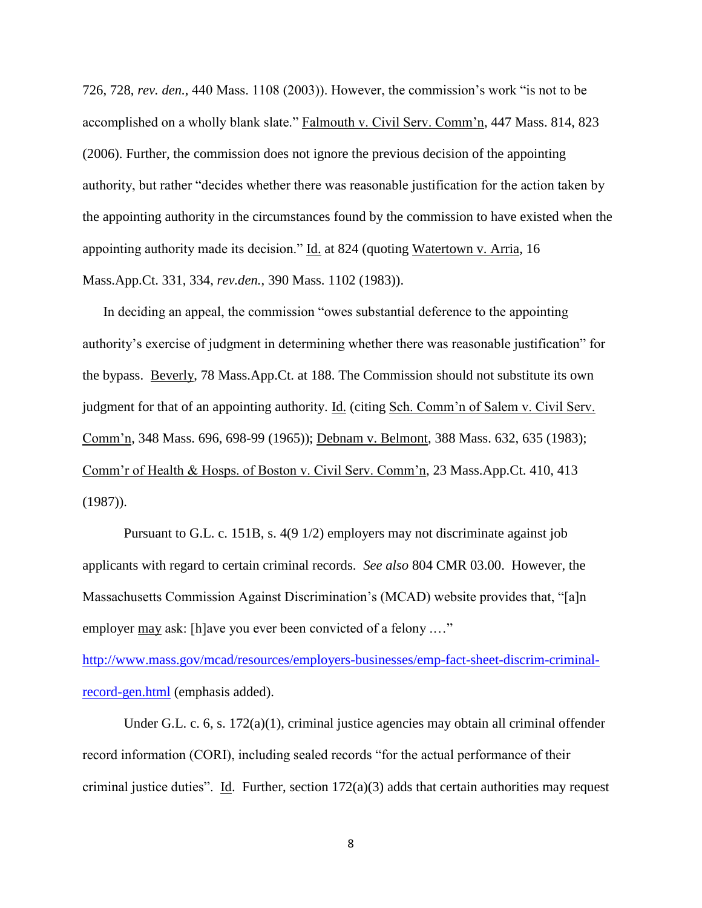726, 728, *rev. den.,* 440 Mass. 1108 (2003)). However, the commission's work "is not to be accomplished on a wholly blank slate." Falmouth v. Civil Serv. Comm'n, 447 Mass. 814, 823 (2006). Further, the commission does not ignore the previous decision of the appointing authority, but rather "decides whether there was reasonable justification for the action taken by the appointing authority in the circumstances found by the commission to have existed when the appointing authority made its decision." Id. at 824 (quoting Watertown v. Arria, 16 Mass.App.Ct. 331, 334, *rev.den.*, 390 Mass. 1102 (1983)).

In deciding an appeal, the commission "owes substantial deference to the appointing authority's exercise of judgment in determining whether there was reasonable justification" for the bypass. Beverly, 78 Mass.App.Ct. at 188. The Commission should not substitute its own judgment for that of an appointing authority. Id. (citing Sch. Comm'n of Salem v. Civil Serv. Comm'n, 348 Mass. 696, 698-99 (1965)); Debnam v. Belmont, 388 Mass. 632, 635 (1983); Comm'r of Health & Hosps. of Boston v. Civil Serv. Comm'n, 23 Mass.App.Ct. 410, 413 (1987)).

Pursuant to G.L. c. 151B, s. 4(9 1/2) employers may not discriminate against job applicants with regard to certain criminal records. *See also* 804 CMR 03.00. However, the Massachusetts Commission Against Discrimination's (MCAD) website provides that, "[a]n employer may ask: [h]ave you ever been convicted of a felony .…"

[http://www.mass.gov/mcad/resources/employers-businesses/emp-fact-sheet-discrim-criminal](http://www.mass.gov/mcad/resources/employers-businesses/emp-fact-sheet-discrim-criminal-record-gen.html)[record-gen.html](http://www.mass.gov/mcad/resources/employers-businesses/emp-fact-sheet-discrim-criminal-record-gen.html) (emphasis added).

Under G.L. c. 6, s. 172(a)(1), criminal justice agencies may obtain all criminal offender record information (CORI), including sealed records "for the actual performance of their criminal justice duties". Id. Further, section 172(a)(3) adds that certain authorities may request

8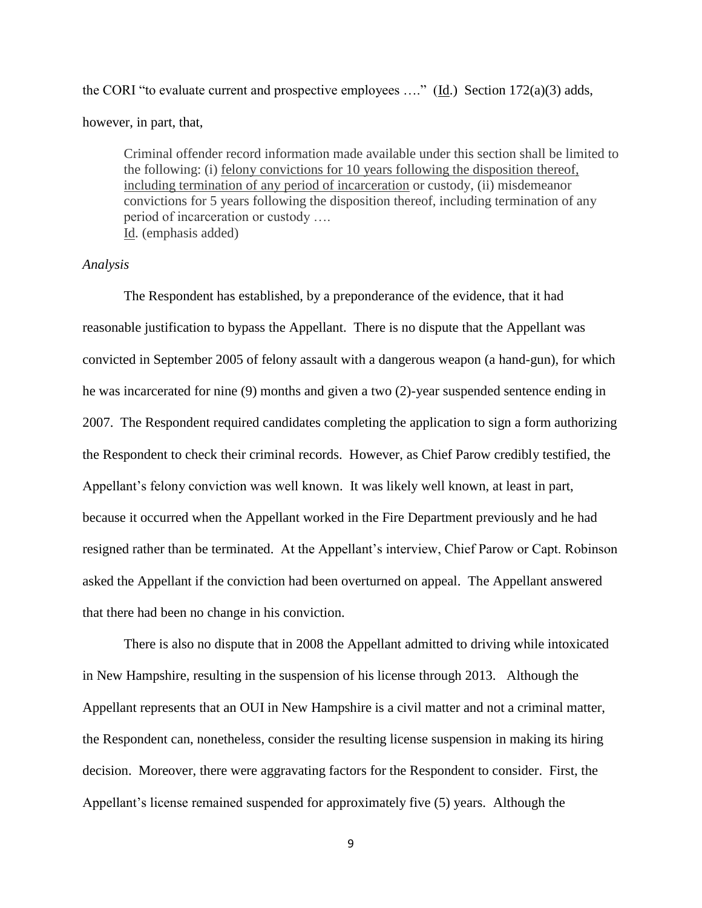the CORI "to evaluate current and prospective employees ...." ( $\underline{Id}$ .) Section 172(a)(3) adds,

however, in part, that,

Criminal offender record information made available under this section shall be limited to the following: (i) felony convictions for 10 years following the disposition thereof, including termination of any period of incarceration or custody, (ii) misdemeanor convictions for 5 years following the disposition thereof, including termination of any period of incarceration or custody …. Id. (emphasis added)

### *Analysis*

The Respondent has established, by a preponderance of the evidence, that it had reasonable justification to bypass the Appellant. There is no dispute that the Appellant was convicted in September 2005 of felony assault with a dangerous weapon (a hand-gun), for which he was incarcerated for nine (9) months and given a two (2)-year suspended sentence ending in 2007. The Respondent required candidates completing the application to sign a form authorizing the Respondent to check their criminal records. However, as Chief Parow credibly testified, the Appellant's felony conviction was well known. It was likely well known, at least in part, because it occurred when the Appellant worked in the Fire Department previously and he had resigned rather than be terminated. At the Appellant's interview, Chief Parow or Capt. Robinson asked the Appellant if the conviction had been overturned on appeal. The Appellant answered that there had been no change in his conviction.

There is also no dispute that in 2008 the Appellant admitted to driving while intoxicated in New Hampshire, resulting in the suspension of his license through 2013. Although the Appellant represents that an OUI in New Hampshire is a civil matter and not a criminal matter, the Respondent can, nonetheless, consider the resulting license suspension in making its hiring decision. Moreover, there were aggravating factors for the Respondent to consider. First, the Appellant's license remained suspended for approximately five (5) years. Although the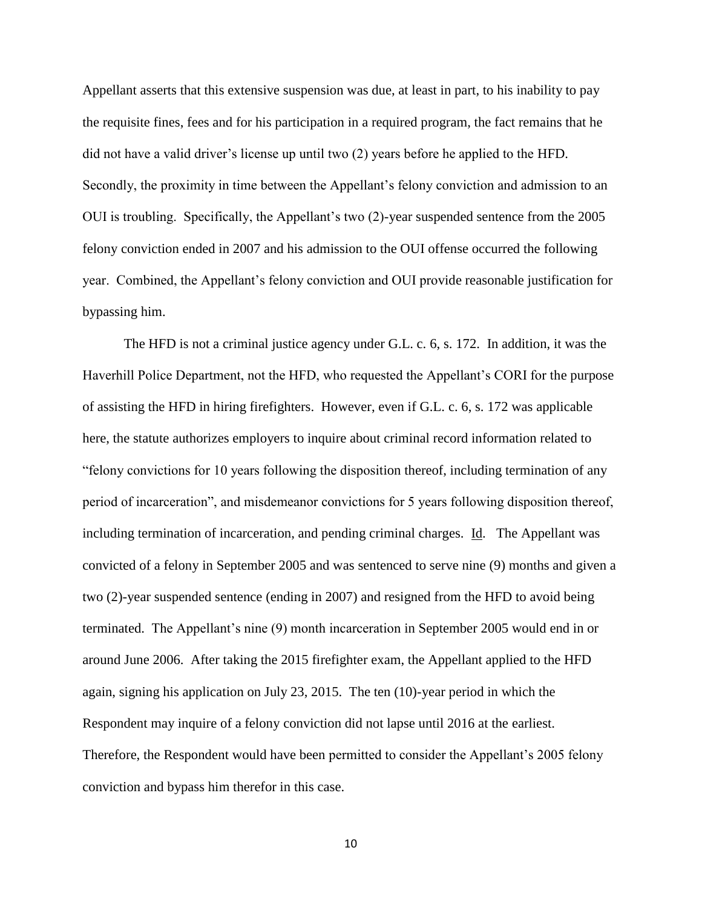Appellant asserts that this extensive suspension was due, at least in part, to his inability to pay the requisite fines, fees and for his participation in a required program, the fact remains that he did not have a valid driver's license up until two (2) years before he applied to the HFD. Secondly, the proximity in time between the Appellant's felony conviction and admission to an OUI is troubling. Specifically, the Appellant's two (2)-year suspended sentence from the 2005 felony conviction ended in 2007 and his admission to the OUI offense occurred the following year. Combined, the Appellant's felony conviction and OUI provide reasonable justification for bypassing him.

The HFD is not a criminal justice agency under G.L. c. 6, s. 172. In addition, it was the Haverhill Police Department, not the HFD, who requested the Appellant's CORI for the purpose of assisting the HFD in hiring firefighters. However, even if G.L. c. 6, s. 172 was applicable here, the statute authorizes employers to inquire about criminal record information related to "felony convictions for 10 years following the disposition thereof, including termination of any period of incarceration", and misdemeanor convictions for 5 years following disposition thereof, including termination of incarceration, and pending criminal charges. Id. The Appellant was convicted of a felony in September 2005 and was sentenced to serve nine (9) months and given a two (2)-year suspended sentence (ending in 2007) and resigned from the HFD to avoid being terminated. The Appellant's nine (9) month incarceration in September 2005 would end in or around June 2006. After taking the 2015 firefighter exam, the Appellant applied to the HFD again, signing his application on July 23, 2015. The ten (10)-year period in which the Respondent may inquire of a felony conviction did not lapse until 2016 at the earliest. Therefore, the Respondent would have been permitted to consider the Appellant's 2005 felony conviction and bypass him therefor in this case.

10